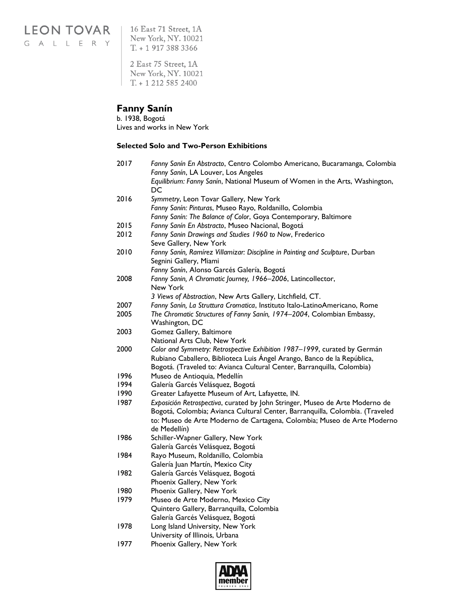LEON TOVAR | 16 East 71 Street, 1A GALLERY

New York, NY. 10021  $T. + 19173883366$ 

2 East 75 Street, 1A New York, NY. 10021  $T. + 12125852400$ 

### **Fanny Sanín**

b. 1938, Bogotá Lives and works in New York

#### **Selected Solo and Two-Person Exhibitions**

| 2017 | Fanny Sanín En Abstracto, Centro Colombo Americano, Bucaramanga, Colombia         |  |
|------|-----------------------------------------------------------------------------------|--|
|      | Fanny Sanín, LA Louver, Los Angeles                                               |  |
|      | Equilibrium: Fanny Sanín, National Museum of Women in the Arts, Washington,<br>DC |  |
| 2016 | Symmetry, Leon Tovar Gallery, New York                                            |  |
|      | Fanny Sanín: Pinturas, Museo Rayo, Roldanillo, Colombia                           |  |
|      | Fanny Sanín: The Balance of Color, Goya Contemporary, Baltimore                   |  |
| 2015 | Fanny Sanín En Abstracto, Museo Nacional, Bogotá                                  |  |
| 2012 | Fanny Sanin Drawings and Studies 1960 to Now, Frederico                           |  |
|      | Seve Gallery, New York                                                            |  |
| 2010 | Fanny Sanín, Ramírez Villamizar: Discipline in Painting and Sculpture, Durban     |  |
|      | Segnini Gallery, Miami                                                            |  |
|      | Fanny Sanín, Alonso Garcés Galería, Bogotá                                        |  |
| 2008 | Fanny Sanin, A Chromatic Journey, 1966-2006, Latincollector,                      |  |
|      | New York                                                                          |  |
|      | 3 Views of Abstraction, New Arts Gallery, Litchfield, CT.                         |  |
| 2007 | Fanny Sanín, La Struttura Cromatica, Instituto Italo-LatinoAmericano, Rome        |  |
| 2005 | The Chromatic Structures of Fanny Sanín, 1974-2004, Colombian Embassy,            |  |
|      | Washington, DC                                                                    |  |
| 2003 | Gomez Gallery, Baltimore                                                          |  |
|      | National Arts Club, New York                                                      |  |
| 2000 | Color and Symmetry: Retrospective Exhibition 1987-1999, curated by Germán         |  |
|      | Rubiano Caballero, Biblioteca Luis Ángel Arango, Banco de la República,           |  |
|      | Bogotá. (Traveled to: Avianca Cultural Center, Barranquilla, Colombia)            |  |
| 1996 | Museo de Antioquia, Medellín                                                      |  |
| 1994 | Galería Garcés Velásquez, Bogotá                                                  |  |
| 1990 | Greater Lafayette Museum of Art, Lafayette, IN.                                   |  |
| 1987 | Exposición Retrospectiva, curated by John Stringer, Museo de Arte Moderno de      |  |
|      | Bogotá, Colombia; Avianca Cultural Center, Barranquilla, Colombia. (Traveled      |  |
|      | to: Museo de Arte Moderno de Cartagena, Colombia; Museo de Arte Moderno           |  |
|      | de Medellín)                                                                      |  |
| 1986 | Schiller-Wapner Gallery, New York                                                 |  |
|      | Galería Garcés Velásquez, Bogotá                                                  |  |
| 1984 | Rayo Museum, Roldanillo, Colombia                                                 |  |
|      | Galería Juan Martín, Mexico City                                                  |  |
| 1982 | Galería Garcés Velásquez, Bogotá                                                  |  |
|      | Phoenix Gallery, New York                                                         |  |
| 1980 | Phoenix Gallery, New York                                                         |  |
| 1979 | Museo de Arte Moderno, Mexico City                                                |  |
|      | Quintero Gallery, Barranquilla, Colombia                                          |  |
| 1978 | Galería Garcés Velásquez, Bogotá                                                  |  |
|      | Long Island University, New York                                                  |  |
| 1977 | University of Illinois, Urbana<br>Phoenix Gallery, New York                       |  |
|      |                                                                                   |  |

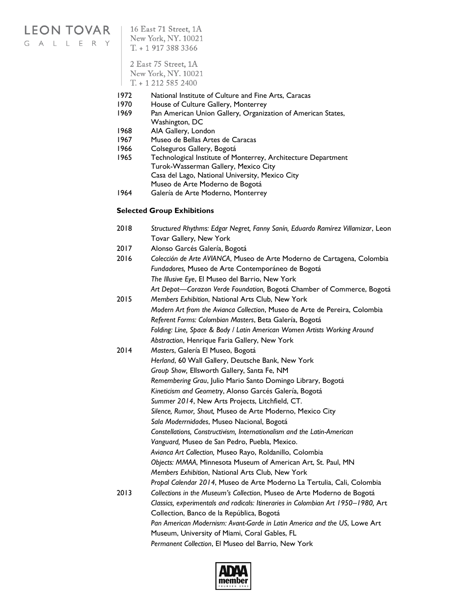# LEON TOVAR | 16 East 71 Street, 1A

G A L L E R Y

New York, NY. 10021  $T. + 19173883366$ 2 East 75 Street, 1A New York, NY. 10021

 $T. + 12125852400$ 

- 1972 National Institute of Culture and Fine Arts, Caracas
- 1970 House of Culture Gallery, Monterrey
- 1969 Pan American Union Gallery, Organization of American States, Washington, DC
- 1968 AIA Gallery, London
- 1967 Museo de Bellas Artes de Caracas
- 1966 Colseguros Gallery, Bogotá
- 1965 Technological Institute of Monterrey, Architecture Department Turok-Wasserman Gallery, Mexico City Casa del Lago, National University, Mexico City Museo de Arte Moderno de Bogotá
- 1964 Galería de Arte Moderno, Monterrey

#### **Selected Group Exhibitions**

- 2018 *Structured Rhythms: Edgar Negret, Fanny Sanín, Eduardo Ramírez Villamizar*, Leon Tovar Gallery, New York 2017 Alonso Garcés Galería, Bogotá
- 2016 *Colección de Arte AVIANCA*, Museo de Arte Moderno de Cartagena, Colombia *Fundadores,* Museo de Arte Contemporáneo de Bogotá *The Illusive Eye*, El Museo del Barrio, New York *Art Depot—Corazon Verde Foundation,* Bogotá Chamber of Commerce, Bogotá
- 2015 *Members Exhibition*, National Arts Club, New York *Modern Art from the Avianca Collection*, Museo de Arte de Pereira, Colombia *Referent Forms: Colombian Masters*, Beta Galería, Bogotá *Folding: Line, Space & Body / Latin American Women Artists Working Around Abstraction*, Henrique Faria Gallery, New York
- 2014 *Masters*, Galería El Museo, Bogotá *Herland*, 60 Wall Gallery, Deutsche Bank, New York *Group Show,* Ellsworth Gallery, Santa Fe, NM *Remembering Grau*, Julio Mario Santo Domingo Library, Bogotá *Kineticism and Geometry*, Alonso Garcés Galería, Bogotá *Summer 2014*, New Arts Projects, Litchfield, CT. *Silence, Rumor, Shout,* Museo de Arte Moderno, Mexico City *Sala Moderrnidades*, Museo Nacional, Bogotá *Constellations, Constructivism, Internationalism and the Latin-American Vanguard,* Museo de San Pedro, Puebla, Mexico. *Avianca Art Collection,* Museo Rayo, Roldanillo, Colombia *Objects: MMAA*, Minnesota Museum of American Art, St. Paul, MN *Members Exhibition*, National Arts Club, New York *Propal Calendar 2014*, Museo de Arte Moderno La Tertulia, Cali, Colombia 2013 *Collections in the Museum's Collection*, Museo de Arte Moderno de Bogotá *Classics, experimentals and radicals: Itineraries in Colombian Art 1950–1980,* Art Collection, Banco de la República, Bogotá *Pan American Modernism: Avant-Garde in Latin America and the US*, Lowe Art Museum, University of Miami, Coral Gables, FL *Permanent Collection*, El Museo del Barrio, New York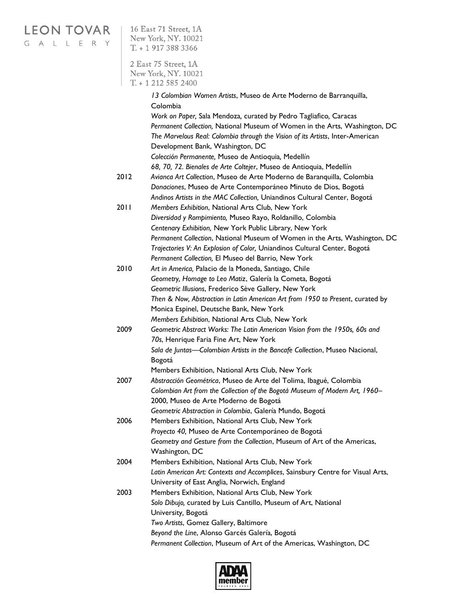#### LEON TOVAR | 16 East 71 Street, 1A New York, NY. 10021 GALLERY  $T. + 19173883366$ 2 East 75 Street, 1A New York, NY. 10021  $T. + 12125852400$ *13 Colombian Women Artists*, Museo de Arte Moderno de Barranquilla, Colombia *Work on Paper,* Sala Mendoza*,* curated by Pedro Tagliafico*,* Caracas *Permanent Collection,* National Museum of Women in the Arts, Washington, DC *The Marvelous Real: Colombia through the Vision of its Artists*, Inter-American Development Bank, Washington, DC *Colección Permanente,* Museo de Antioquia*,* Medellín *68, 70, 72. Bienales de Arte Coltejer*, Museo de Antioquia, Medellín 2012 *Avianca Art Collection*, Museo de Arte Moderno de Baranquilla, Colombia *Donaciones*, Museo de Arte Contemporáneo Minuto de Dios, Bogotá *Andinos Artists in the MAC Collection,* Uniandinos Cultural Center, Bogotá 2011 *Members Exhibition*, National Arts Club, New York *Diversidad y Rompimiento,* Museo Rayo, Roldanillo, Colombia *Centenary Exhibition,* New York Public Library, New York *Permanent Collection*, National Museum of Women in the Arts, Washington, DC *Trajectories V: An Explosion of Color,* Uniandinos Cultural Center, Bogotá *Permanent Collection,* El Museo del Barrio*,* New York 2010 *Art in America,* Palacio de la Moneda, Santiago, Chile *Geometry, Homage to Leo Matiz*, Galería la Cometa, Bogotá *Geometric Illusions*, Frederico Sève Gallery, New York *Then & Now, Abstraction in Latin American Art from 1950 to Present*, curated by Monica Espinel, Deutsche Bank, New York *Members Exhibition*, National Arts Club, New York 2009 *Geometric Abstract Works: The Latin American Vision from the 1950s, 60s and 70s*, Henrique Faria Fine Art, New York *Sala de Juntas—Colombian Artists in the Bancafe Collection*, Museo Nacional, Bogotá Members Exhibition, National Arts Club, New York 2007 *Abstracción Geométrica*, Museo de Arte del Tolima, Ibagué, Colombia *Colombian Art from the Collection of the Bogotá Museum of Modern Art, 1960–* 2000, Museo de Arte Moderno de Bogotá *Geometric Abstraction in Colombia*, Galería Mundo, Bogotá 2006 Members Exhibition, National Arts Club, New York *Proyecto 40,* Museo de Arte Contemporáneo de Bogotá *Geometry and Gesture from the Collection*, Museum of Art of the Americas, Washington, DC 2004 Members Exhibition, National Arts Club, New York *Latin American Art: Contexts and Accomplices*, Sainsbury Centre for Visual Arts, University of East Anglia, Norwich, England 2003 Members Exhibition, National Arts Club, New York *Solo Dibujo,* curated by Luis Cantillo, Museum of Art, National University*,* Bogotá *Two Artists*, Gomez Gallery, Baltimore *Beyond the Line*, Alonso Garcés Galería, Bogotá *Permanent Collection*, Museum of Art of the Americas, Washington, DC

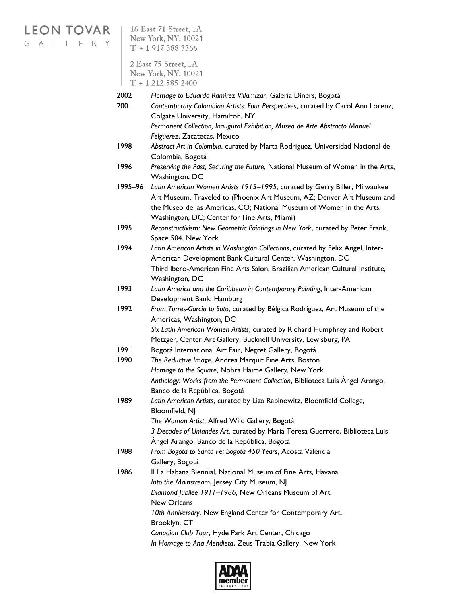# **LEON TOVAR**

G A L L E R Y

16 East 71 Street, 1A New York, NY. 10021  $T. + 19173883366$ 

2 East 75 Street, 1A New York, NY. 10021  $T + 12125852400$ 

- 2002 *Homage to Eduardo Ramírez Villamizar*, Galería Diners, Bogotá
- 2001 *Contemporary Colombian Artists: Four Perspectives*, curated by Carol Ann Lorenz, Colgate University, Hamilton, NY *Permanent Collection, Inaugural Exhibition, Museo de Arte Abstracto Manuel*

*Felguerez*, Zacatecas, Mexico

- 1998 *Abstract Art in Colombia*, curated by Marta Rodriguez*,* Universidad Nacional de Colombia, Bogotá
- 1996 *Preserving the Past, Securing the Future*, National Museum of Women in the Arts, Washington, DC
- 1995–96 *Latin American Women Artists 1915–1995*, curated by Gerry Biller, Milwaukee Art Museum. Traveled to (Phoenix Art Museum, AZ; Denver Art Museum and the Museo de las Americas, CO; National Museum of Women in the Arts, Washington, DC; Center for Fine Arts, Miami)
- 1995 *Reconstructivism: New Geometric Paintings in New York*, curated by Peter Frank, Space 504, New York
- 1994 *Latin American Artists in Washington Collections*, curated by Felix Angel, Inter-American Development Bank Cultural Center, Washington, DC Third Ibero-American Fine Arts Salon, Brazilian American Cultural Institute, Washington, DC
- 1993 *Latin America and the Caribbean in Contemporary Painting*, Inter-American Development Bank, Hamburg
- 1992 *From Torres-Garcia to Soto*, curated by Bélgica Rodríguez, Art Museum of the Americas, Washington, DC *Six Latin American Women Artists*, curated by Richard Humphrey and Robert
	- Metzger, Center Art Gallery, Bucknell University, Lewisburg, PA
- 1991 Bogotá International Art Fair, Negret Gallery, Bogotá
- 1990 *The Reductive Image*, Andrea Marquit Fine Arts, Boston *Homage to the Square*, Nohra Haime Gallery, New York *Anthology: Works from the Permanent Collection*, Biblioteca Luis Ángel Arango, Banco de la República, Bogotá
- 1989 *Latin American Artists*, curated by Liza Rabinowitz, Bloomfield College, Bloomfield, NJ *The Woman Artist*, Alfred Wild Gallery, Bogotá

*3 Decades of Uniandes Art*, curated by Maria Teresa Guerrero, Biblioteca Luis Ángel Arango, Banco de la República, Bogotá

- 1988 *From Bogotá to Santa Fe; Bogotá 450 Years*, Acosta Valencia Gallery, Bogotá
- 1986 II La Habana Biennial, National Museum of Fine Arts, Havana *Into the Mainstream*, Jersey City Museum, NJ *Diamond Jubilee 1911–1986*, New Orleans Museum of Art,
	- New Orleans *10th Anniversary*, New England Center for Contemporary Art, Brooklyn, CT *Canadian Club Tour*, Hyde Park Art Center, Chicago
		- *In Homage to Ana Mendieta*, Zeus-Trabia Gallery, New York

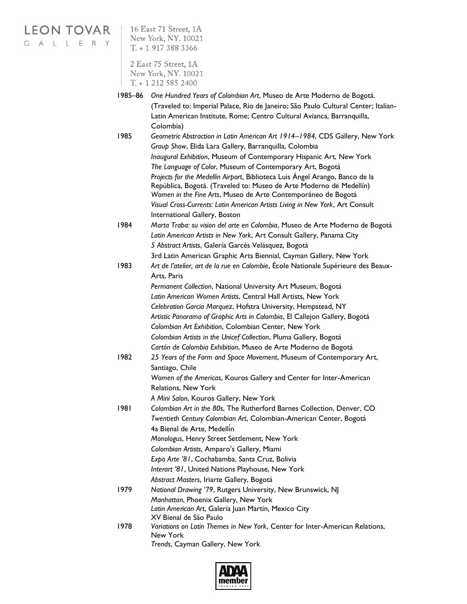## **LEON TOVAR**

G A L L E R Y

16 East 71 Street, 1A New York, NY. 10021  $T. + 19173883366$ 

2 East 75 Street, 1A New York, NY. 10021  $T. + 12125852400$ 

1985–86 *One Hundred Years of Colombian Art*, Museo de Arte Moderno de Bogotá. (Traveled to: Imperial Palace, Rio de Janeiro; São Paulo Cultural Center; Italian-Latin American Institute, Rome; Centro Cultural Avianca, Barranquilla, Colombia) 1985 *Geometric Abstraction in Latin American Art 1914–1984*, CDS Gallery, New York *Group Show*, Elida Lara Gallery, Barranquilla, Colombia *Inaugural Exhibition*, Museum of Contemporary Hispanic Art, New York *The Language of Color*, Museum of Contemporary Art, Bogotá *Projects for the Medellín Airport*, Biblioteca Luis Ángel Arango, Banco de la República, Bogotá. (Traveled to: Museo de Arte Moderno de Medellín) *Women in the Fine Arts*, Museo de Arte Contemporáneo de Bogotá *Visual Cross-Currents: Latin American Artists Living in New York*, Art Consult International Gallery, Boston 1984 *Marta Traba: su vision del arte en Colombia*, Museo de Arte Moderno de Bogotá *Latin American Artists in New York*, Art Consult Gallery, Panama City *5 Abstract Artists*, Galería Garcés Velásquez, Bogotá 3rd Latin American Graphic Arts Biennial, Cayman Gallery, New York 1983 *Art de l'atelier, art de la rue en Colombie*, École Nationale Supérieure des Beaux-Arts, Paris *Permanent Collection*, National University Art Museum, Bogotá *Latin American Women Artists*, Central Hall Artists, New York *Celebration Garcia Marquez*, Hofstra University, Hempstead, NY *Artistic Panorama of Graphic Arts in Colombia*, El Callejon Gallery, Bogotá *Colombian Art Exhibition*, Colombian Center, New York *Colombian Artists in the Unicef Collection*, Pluma Gallery, Bogotá *Cartón de Colombia Exhibition*, Museo de Arte Moderno de Bogotá 1982 *25 Years of the Form and Space Movement*, Museum of Contemporary Art, Santiago, Chile *Women of the Americas*, Kouros Gallery and Center for Inter-American Relations, New York *A Mini Salon*, Kouros Gallery, New York 1981 *Colombian Art in the 80s*, The Rutherford Barnes Collection, Denver, CO *Twentieth Century Colombian Art*, Colombian-American Center, Bogotá 4a Bienal de Arte, Medellín *Monologus*, Henry Street Settlement, New York *Colombian Artists*, Amparo's Gallery, Miami *Expo Arte '81*, Cochabamba, Santa Cruz, Bolivia *Interart '81*, United Nations Playhouse, New York *Abstract Masters*, Iriarte Gallery, Bogotá 1979 *National Drawing '79*, Rutgers University, New Brunswick, NJ *Manhattan*, Phoenix Gallery, New York *Latin American Art*, Galería Juan Martín, Mexico City XV Bienal de São Paulo 1978 *Variations on Latin Themes in New York*, Center for Inter-American Relations, New York *Trends*, Cayman Gallery, New York

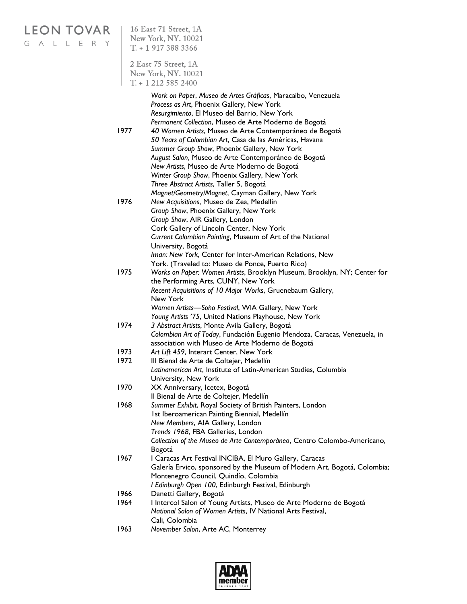| <b>LEON TOVAR</b><br>GALLE<br>R Y | 16 East 71 Street, 1A<br>New York, NY. 10021<br>$T. + 19173883366$ |                                                                                                                                                                                                                                                                                                                                                                                                                                                                                                                                                 |  |
|-----------------------------------|--------------------------------------------------------------------|-------------------------------------------------------------------------------------------------------------------------------------------------------------------------------------------------------------------------------------------------------------------------------------------------------------------------------------------------------------------------------------------------------------------------------------------------------------------------------------------------------------------------------------------------|--|
|                                   |                                                                    | 2 East 75 Street, 1A<br>New York, NY. 10021<br>$T. + 12125852400$                                                                                                                                                                                                                                                                                                                                                                                                                                                                               |  |
|                                   | 1977                                                               | Work on Paper, Museo de Artes Gráficas, Maracaibo, Venezuela<br>Process as Art, Phoenix Gallery, New York<br>Resurgimiento, El Museo del Barrio, New York<br>Permanent Collection, Museo de Arte Moderno de Bogotá<br>40 Women Artists, Museo de Arte Contemporáneo de Bogotá<br>50 Years of Colombian Art, Casa de las Américas, Havana<br>Summer Group Show, Phoenix Gallery, New York<br>August Salon, Museo de Arte Contemporáneo de Bogotá<br>New Artists, Museo de Arte Moderno de Bogotá<br>Winter Group Show, Phoenix Gallery, New York |  |
|                                   | 1976                                                               | Three Abstract Artists, Taller 5, Bogotá<br>Magnet/Geometry/Magnet, Cayman Gallery, New York<br>New Acquisitions, Museo de Zea, Medellín<br>Group Show, Phoenix Gallery, New York<br>Group Show, AIR Gallery, London<br>Cork Gallery of Lincoln Center, New York<br>Current Colombian Painting, Museum of Art of the National                                                                                                                                                                                                                   |  |
|                                   | 1975                                                               | University, Bogotá<br>Iman: New York, Center for Inter-American Relations, New<br>York. (Traveled to: Museo de Ponce, Puerto Rico)<br>Works on Paper: Women Artists, Brooklyn Museum, Brooklyn, NY; Center for<br>the Performing Arts, CUNY, New York<br>Recent Acquisitions of 10 Major Works, Gruenebaum Gallery,<br>New York                                                                                                                                                                                                                 |  |
|                                   | 1974                                                               | Women Artists-Soho Festival, WIA Gallery, New York<br>Young Artists '75, United Nations Playhouse, New York<br>3 Abstract Artists, Monte Avila Gallery, Bogotá<br>Colombian Art of Today, Fundación Eugenio Mendoza, Caracas, Venezuela, in<br>association with Museo de Arte Moderno de Bogotá                                                                                                                                                                                                                                                 |  |
|                                   | 1973                                                               | Art Lift 459, Interart Center, New York                                                                                                                                                                                                                                                                                                                                                                                                                                                                                                         |  |
|                                   | 1972                                                               | III Bienal de Arte de Coltejer, Medellín<br>Latinamerican Art, Institute of Latin-American Studies, Columbia<br>University, New York                                                                                                                                                                                                                                                                                                                                                                                                            |  |
|                                   | 1970                                                               | XX Anniversary, Icetex, Bogotá<br>Il Bienal de Arte de Coltejer, Medellín                                                                                                                                                                                                                                                                                                                                                                                                                                                                       |  |
|                                   | 1968                                                               | Summer Exhibit, Royal Society of British Painters, London<br>1st Iberoamerican Painting Biennial, Medellín<br>New Members, AIA Gallery, London<br>Trends 1968, FBA Galleries, London<br>Collection of the Museo de Arte Contemporáneo, Centro Colombo-Americano,                                                                                                                                                                                                                                                                                |  |
|                                   | 1967                                                               | Bogotá<br>I Caracas Art Festival INCIBA, El Muro Gallery, Caracas<br>Galería Ervico, sponsored by the Museum of Modern Art, Bogotá, Colombia;<br>Montenegro Council, Quindío, Colombia<br>I Edinburgh Open 100, Edinburgh Festival, Edinburgh                                                                                                                                                                                                                                                                                                   |  |
|                                   | 1966<br>1964                                                       | Danetti Gallery, Bogotá<br>I Intercol Salon of Young Artists, Museo de Arte Moderno de Bogotá<br>National Salon of Women Artists, IV National Arts Festival,                                                                                                                                                                                                                                                                                                                                                                                    |  |
|                                   | 1963                                                               | Cali, Colombia<br>November Salon, Arte AC, Monterrey                                                                                                                                                                                                                                                                                                                                                                                                                                                                                            |  |